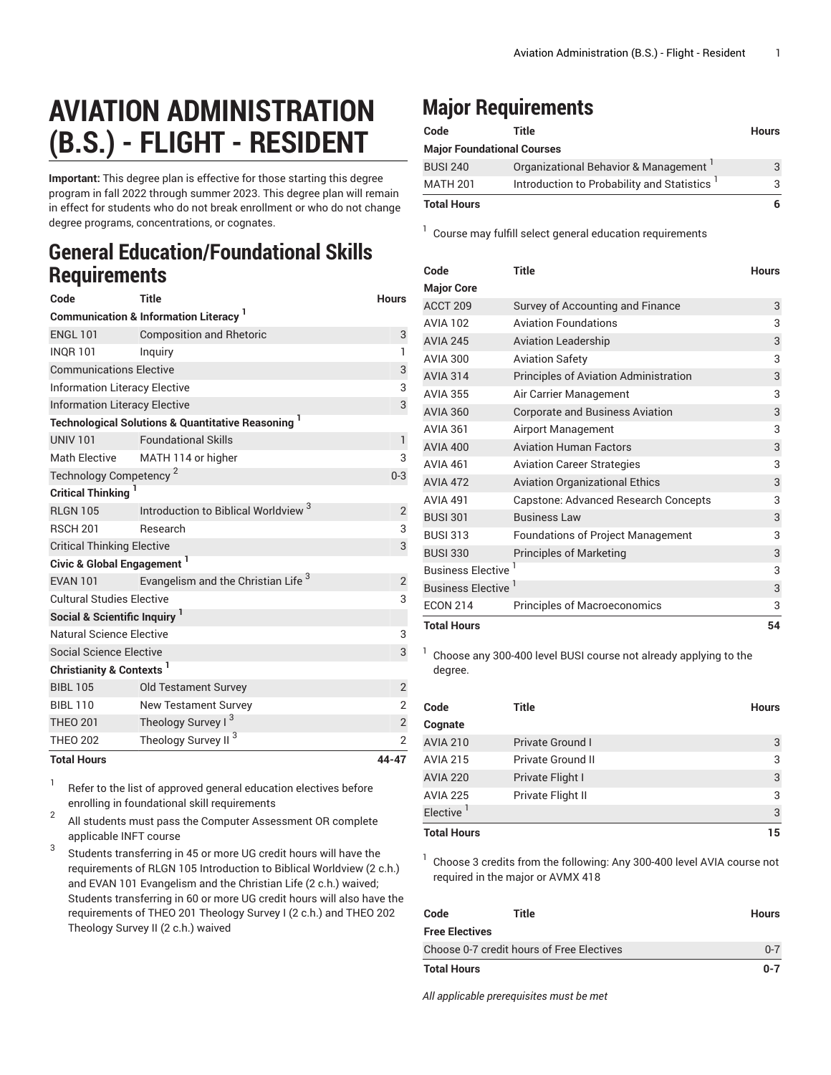## **AVIATION ADMINISTRATION (B.S.) - FLIGHT - RESIDENT**

**Important:** This degree plan is effective for those starting this degree program in fall 2022 through summer 2023. This degree plan will remain in effect for students who do not break enrollment or who do not change degree programs, concentrations, or cognates.

## **General Education/Foundational Skills Requirements**

| Code                                     | <b>Title</b>                                                             | <b>Hours</b>   |  |
|------------------------------------------|--------------------------------------------------------------------------|----------------|--|
|                                          | <b>Communication &amp; Information Literacy</b>                          |                |  |
| <b>ENGL 101</b>                          | <b>Composition and Rhetoric</b>                                          | 3              |  |
| <b>INQR101</b>                           | Inguiry                                                                  | $\mathbf{1}$   |  |
| <b>Communications Elective</b>           | 3                                                                        |                |  |
|                                          | <b>Information Literacy Elective</b>                                     |                |  |
| <b>Information Literacy Elective</b>     |                                                                          | 3              |  |
|                                          | <b>Technological Solutions &amp; Quantitative Reasoning</b> <sup>1</sup> |                |  |
| <b>UNIV 101</b>                          | <b>Foundational Skills</b>                                               | $\mathbf{1}$   |  |
| <b>Math Elective</b>                     | MATH 114 or higher                                                       | 3              |  |
| Technology Competency <sup>2</sup>       |                                                                          | $0 - 3$        |  |
| Critical Thinking <sup>1</sup>           |                                                                          |                |  |
| <b>RLGN 105</b>                          | Introduction to Biblical Worldview <sup>3</sup>                          | $\overline{2}$ |  |
| <b>RSCH 201</b>                          | Research                                                                 | 3              |  |
| <b>Critical Thinking Elective</b>        |                                                                          | 3              |  |
| Civic & Global Engagement <sup>1</sup>   |                                                                          |                |  |
| <b>EVAN 101</b>                          | Evangelism and the Christian Life <sup>3</sup>                           | $\overline{2}$ |  |
| <b>Cultural Studies Elective</b>         |                                                                          | 3              |  |
| Social & Scientific Inquiry <sup>1</sup> |                                                                          |                |  |
| Natural Science Elective                 |                                                                          | 3              |  |
| Social Science Elective                  |                                                                          | 3              |  |
| Christianity & Contexts <sup>1</sup>     |                                                                          |                |  |
| <b>BIBL 105</b>                          | <b>Old Testament Survey</b>                                              | $\sqrt{2}$     |  |
| <b>BIBL 110</b>                          | <b>New Testament Survey</b>                                              | $\overline{2}$ |  |
| <b>THEO 201</b>                          | Theology Survey I <sup>3</sup>                                           | $\sqrt{2}$     |  |
| <b>THEO 202</b>                          | Theology Survey II <sup>3</sup>                                          | $\overline{2}$ |  |
| <b>Total Hours</b>                       |                                                                          | 44-47          |  |

1 Refer to the list of approved general [education](https://www.liberty.edu/gened/) electives before enrolling in foundational skill requirements

2 All students must pass the [Computer Assessment](https://www.liberty.edu/computerassessment/) OR complete applicable INFT course

3 Students transferring in 45 or more UG credit hours will have the requirements of RLGN 105 Introduction to Biblical Worldview (2 c.h.) and EVAN 101 Evangelism and the Christian Life (2 c.h.) waived; Students transferring in 60 or more UG credit hours will also have the requirements of THEO 201 Theology Survey I (2 c.h.) and THEO 202 Theology Survey II (2 c.h.) waived

## **Major Requirements**

| Code               | Title                                                   | <b>Hours</b> |
|--------------------|---------------------------------------------------------|--------------|
|                    | <b>Major Foundational Courses</b>                       |              |
| <b>BUSI 240</b>    | Organizational Behavior & Management                    | 3            |
| <b>MATH 201</b>    | Introduction to Probability and Statistics <sup>1</sup> | 3            |
| <b>Total Hours</b> |                                                         | 6            |

<sup>1</sup> Course may fulfill select general education [requirements](http://www.liberty.edu/academics/generalstudies/?PID=37563)

| Code                     | <b>Title</b>                                 | <b>Hours</b> |
|--------------------------|----------------------------------------------|--------------|
| <b>Major Core</b>        |                                              |              |
| ACCT <sub>209</sub>      | Survey of Accounting and Finance             | 3            |
| <b>AVIA 102</b>          | <b>Aviation Foundations</b>                  | 3            |
| <b>AVIA 245</b>          | <b>Aviation Leadership</b>                   | 3            |
| <b>AVIA 300</b>          | <b>Aviation Safety</b>                       | 3            |
| <b>AVIA 314</b>          | <b>Principles of Aviation Administration</b> | 3            |
| <b>AVIA 355</b>          | Air Carrier Management                       | 3            |
| <b>AVIA 360</b>          | <b>Corporate and Business Aviation</b>       | 3            |
| <b>AVIA 361</b>          | Airport Management                           | 3            |
| <b>AVIA 400</b>          | <b>Aviation Human Factors</b>                | 3            |
| <b>AVIA 461</b>          | <b>Aviation Career Strategies</b>            | 3            |
| <b>AVIA 472</b>          | <b>Aviation Organizational Ethics</b>        | 3            |
| <b>AVIA 491</b>          | Capstone: Advanced Research Concepts         | 3            |
| <b>BUSI 301</b>          | <b>Business Law</b>                          | 3            |
| <b>BUSI 313</b>          | <b>Foundations of Project Management</b>     | 3            |
| <b>BUSI 330</b>          | <b>Principles of Marketing</b>               | 3            |
| <b>Business Elective</b> |                                              | 3            |
| Business Elective '      |                                              | 3            |
| <b>ECON 214</b>          | <b>Principles of Macroeconomics</b>          | 3            |
| <b>Total Hours</b>       |                                              | 54           |

<sup>1</sup> Choose any 300-400 level BUSI course not already applying to the degree.

| Code<br>Cognate       | Title                    | <b>Hours</b> |
|-----------------------|--------------------------|--------------|
| <b>AVIA 210</b>       | <b>Private Ground I</b>  | 3            |
| <b>AVIA 215</b>       | <b>Private Ground II</b> | 3            |
| <b>AVIA 220</b>       | Private Flight I         | 3            |
| <b>AVIA 225</b>       | Private Flight II        | 3            |
| Elective <sup>1</sup> |                          | 3            |
| <b>Total Hours</b>    |                          | 15           |

<sup>1</sup> Choose 3 credits from the following: Any 300-400 level AVIA course not required in the major or AVMX 418

| Code                                      | Title | <b>Hours</b> |
|-------------------------------------------|-------|--------------|
| Free Electives                            |       |              |
| Choose 0-7 credit hours of Free Electives |       | $0 - 7$      |
| Total Hours                               |       | $0 - 7$      |

*All applicable prerequisites must be met*